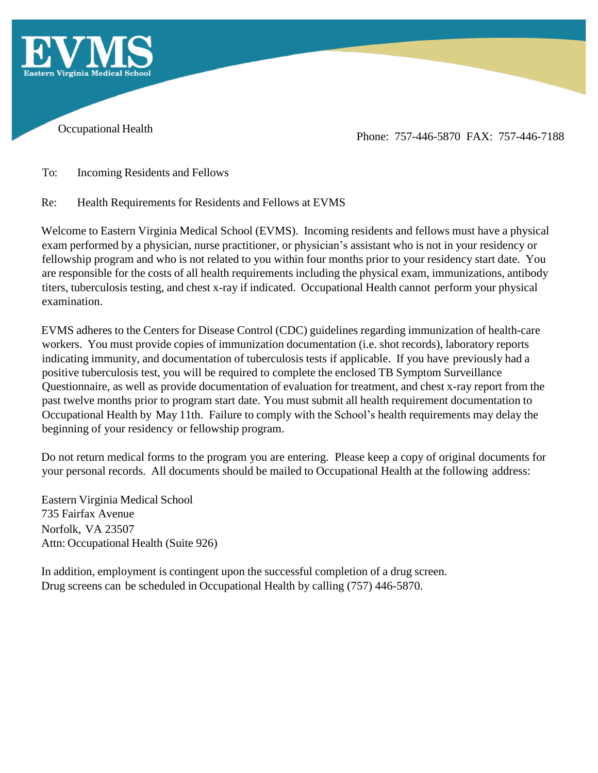

Occupational Health Phone: 757-446-5870 FAX: 757-446-7188

To: Incoming Residents and Fellows

Re: Health Requirements for Residents and Fellows at EVMS

Welcome to Eastern Virginia Medical School (EVMS). Incoming residents and fellows must have a physical exam performed by a physician, nurse practitioner, or physician's assistant who is not in your residency or fellowship program and who is not related to you within four months prior to your residency start date. You are responsible for the costs of all health requirements including the physical exam, immunizations, antibody titers, tuberculosis testing, and chest x-ray if indicated. Occupational Health cannot perform your physical examination.

EVMS adheres to the Centers for Disease Control (CDC) guidelines regarding immunization of health-care workers. You must provide copies of immunization documentation (i.e. shot records), laboratory reports indicating immunity, and documentation of tuberculosis tests if applicable. If you have previously had a positive tuberculosis test, you will be required to complete the enclosed TB Symptom Surveillance Questionnaire, as well as provide documentation of evaluation for treatment, and chest x-ray report from the past twelve months prior to program start date. You must submit all health requirement documentation to Occupational Health by May 11th. Failure to comply with the School's health requirements may delay the beginning of your residency or fellowship program.

Do not return medical forms to the program you are entering. Please keep a copy of original documents for your personal records. All documents should be mailed to Occupational Health at the following address:

Eastern Virginia Medical School 735 Fairfax Avenue Norfolk, VA 23507 Attn: Occupational Health (Suite 926)

In addition, employment is contingent upon the successful completion of a drug screen. Drug screens can be scheduled in Occupational Health by calling (757) 446-5870.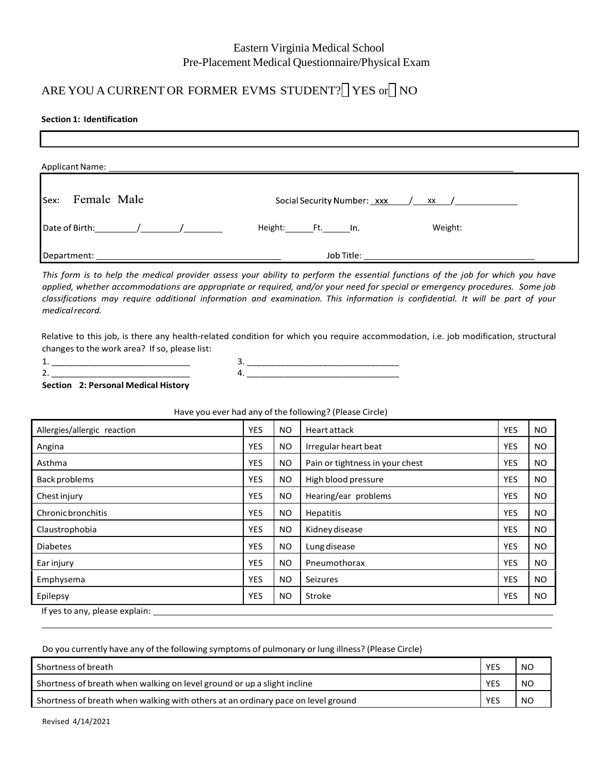## Eastern Virginia Medical School Pre-Placement Medical Questionnaire/Physical Exam

# ARE YOU A CURRENT OR FORMER EVMS STUDENT? YES or NO

## **Section 1: Identification**

| <sup>1</sup> sex: Female Male | Social Security Number: xxx / xx / |  |
|-------------------------------|------------------------------------|--|
|                               | Height: Ft. In.<br>Weight:         |  |
|                               |                                    |  |

This form is to help the medical provider assess your ability to perform the essential functions of the job for which you have applied, whether accommodations are appropriate or required, and/or your need for special or emergency procedures. Some job classifications may require additional information and examination. This information is confidential. It will be part of your *medicalrecord.*

Relative to this job, is there any health-related condition for which you require accommodation, i.e. job modification, structural changes to the work area? If so, please list:

| $\overline{\phantom{a}}$ | the contract of the contract of the contract of the contract of the contract of the contract of the contract of |  |
|--------------------------|-----------------------------------------------------------------------------------------------------------------|--|

3. \_\_\_\_\_\_\_\_\_\_\_\_\_\_\_\_\_\_\_\_\_\_\_\_\_\_\_\_\_\_\_\_ 4. \_\_\_\_\_\_\_\_\_\_\_\_\_\_\_\_\_\_\_\_\_\_\_\_\_\_\_\_\_\_\_\_\_

**Section 2: Personal Medical History**

| Allergies/allergic reaction    | YES        | NO.       | Heart attack                    | <b>YES</b> | NO.       |  |  |  |
|--------------------------------|------------|-----------|---------------------------------|------------|-----------|--|--|--|
| Angina                         | YES        | <b>NO</b> | Irregular heart beat            | <b>YES</b> | NO.       |  |  |  |
| Asthma                         | YES        | <b>NO</b> | Pain or tightness in your chest | <b>YES</b> | NO.       |  |  |  |
| Back problems                  | YES        | NO.       | High blood pressure             | <b>YES</b> | NO.       |  |  |  |
| Chest injury                   | <b>YES</b> | <b>NO</b> | Hearing/ear problems            | <b>YES</b> | NO.       |  |  |  |
| <b>Chronic bronchitis</b>      | YES        | <b>NO</b> | Hepatitis                       | <b>YES</b> | NO.       |  |  |  |
| Claustrophobia                 | <b>YES</b> | <b>NO</b> | Kidney disease                  | <b>YES</b> | NO.       |  |  |  |
| <b>Diabetes</b>                | YES        | <b>NO</b> | Lung disease                    | <b>YES</b> | NO.       |  |  |  |
| Ear injury                     | YES        | <b>NO</b> | Pneumothorax                    | <b>YES</b> | <b>NO</b> |  |  |  |
| Emphysema                      | YES        | <b>NO</b> | Seizures                        | <b>YES</b> | NO.       |  |  |  |
| Epilepsy                       | YES        | <b>NO</b> | Stroke                          | <b>YES</b> | NO.       |  |  |  |
| If yes to any, please explain: |            |           |                                 |            |           |  |  |  |

## Have you ever had any of the following? (Please Circle)

Do you currently have any of the following symptoms of pulmonary or lung illness? (Please Circle)

| Shortness of breath                                                              | YES        | <b>NO</b>     |
|----------------------------------------------------------------------------------|------------|---------------|
| Shortness of breath when walking on level ground or up a slight incline          | <b>YES</b> | <sub>NO</sub> |
| Shortness of breath when walking with others at an ordinary pace on level ground | <b>YES</b> | <sub>NO</sub> |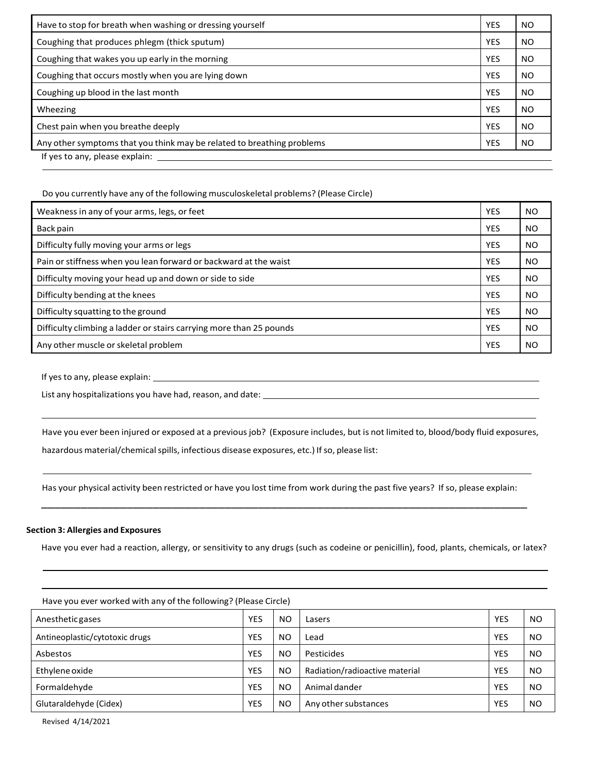| Have to stop for breath when washing or dressing yourself              | <b>YES</b> | NO |  |  |
|------------------------------------------------------------------------|------------|----|--|--|
| Coughing that produces phlegm (thick sputum)                           |            |    |  |  |
| Coughing that wakes you up early in the morning                        | <b>YES</b> | NO |  |  |
| Coughing that occurs mostly when you are lying down                    | <b>YES</b> | NO |  |  |
| Coughing up blood in the last month                                    | <b>YES</b> | NO |  |  |
| Wheezing                                                               | <b>YES</b> | NO |  |  |
| Chest pain when you breathe deeply                                     | <b>YES</b> | NO |  |  |
| Any other symptoms that you think may be related to breathing problems |            |    |  |  |
| If yes to any, please explain:                                         |            |    |  |  |

## Do you currently have any of the following musculoskeletal problems? (Please Circle)

| Weakness in any of your arms, legs, or feet                         | <b>YES</b> | <b>NO</b> |
|---------------------------------------------------------------------|------------|-----------|
| Back pain                                                           | <b>YES</b> | <b>NO</b> |
| Difficulty fully moving your arms or legs                           | <b>YES</b> | <b>NO</b> |
| Pain or stiffness when you lean forward or backward at the waist    | <b>YES</b> | <b>NO</b> |
| Difficulty moving your head up and down or side to side             | <b>YES</b> | <b>NO</b> |
| Difficulty bending at the knees                                     | <b>YES</b> | <b>NO</b> |
| Difficulty squatting to the ground                                  | <b>YES</b> | <b>NO</b> |
| Difficulty climbing a ladder or stairs carrying more than 25 pounds | <b>YES</b> | <b>NO</b> |
| Any other muscle or skeletal problem                                | <b>YES</b> | <b>NO</b> |

If yesto any, please explain:

List any hospitalizations you have had, reason, and date:

Have you ever been injured or exposed at a previousjob? (Exposure includes, but is not limited to, blood/body fluid exposures, hazardous material/chemical spills, infectious disease exposures, etc.) If so, please list:

Has your physical activity been restricted or have you lost time from work during the past five years? If so, please explain: \_\_\_\_\_\_\_\_\_\_\_\_\_\_\_\_\_\_\_\_\_\_\_\_\_\_\_\_\_\_\_\_\_\_\_\_\_\_\_\_\_\_\_\_\_\_\_\_\_\_\_\_\_\_\_\_\_\_\_\_\_\_\_\_\_\_\_\_\_\_\_\_\_\_

#### **Section 3: Allergies and Exposures**

Have you ever had a reaction, allergy, or sensitivity to any drugs (such as codeine or penicillin), food, plants, chemicals, or latex?

| Have you ever worked with any of the following? (Please Circle) |            |                |                                |            |           |  |  |  |  |
|-----------------------------------------------------------------|------------|----------------|--------------------------------|------------|-----------|--|--|--|--|
| <b>Anesthetic gases</b>                                         | <b>YES</b> | <b>NO</b>      | Lasers                         | <b>YES</b> | <b>NO</b> |  |  |  |  |
| Antineoplastic/cytotoxic drugs                                  | <b>YES</b> | N <sub>O</sub> | Lead                           | <b>YES</b> | <b>NO</b> |  |  |  |  |
| Asbestos                                                        | <b>YES</b> | N <sub>O</sub> | Pesticides                     | <b>YES</b> | <b>NO</b> |  |  |  |  |
| Ethylene oxide                                                  | <b>YES</b> | <b>NO</b>      | Radiation/radioactive material | <b>YES</b> | <b>NO</b> |  |  |  |  |
| Formaldehyde                                                    | <b>YES</b> | N <sub>O</sub> | Animal dander                  | <b>YES</b> | <b>NO</b> |  |  |  |  |
| Glutaraldehyde (Cidex)                                          | <b>YES</b> | <b>NO</b>      | Any other substances           | <b>YES</b> | <b>NO</b> |  |  |  |  |

Have you ever worked with any of the following? (Please Circle)

Revised 4/14/2021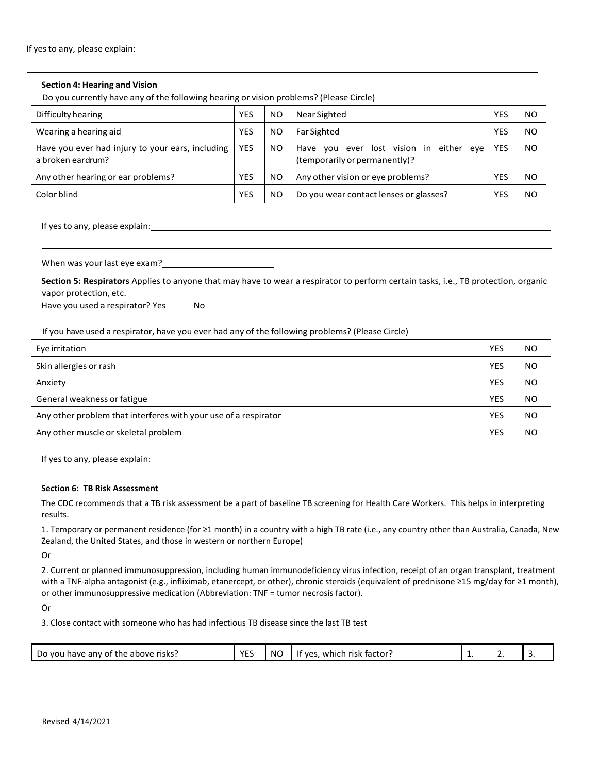#### **Section 4: Hearing and Vision**

Do you currently have any of the following hearing or vision problems? (Please Circle)

| Difficulty hearing                                                    | <b>YES</b> | N <sub>O</sub> | Near Sighted                                                             | <b>YES</b> | N <sub>O</sub> |
|-----------------------------------------------------------------------|------------|----------------|--------------------------------------------------------------------------|------------|----------------|
| Wearing a hearing aid                                                 | <b>YES</b> | N <sub>O</sub> | <b>Far Sighted</b>                                                       | YES        | N <sub>O</sub> |
| Have you ever had injury to your ears, including<br>a broken eardrum? | <b>YES</b> | NO.            | Have you ever lost vision in either eye<br>(temporarily or permanently)? | <b>YES</b> | N <sub>O</sub> |
| Any other hearing or ear problems?                                    | <b>YES</b> | NO.            | Any other vision or eye problems?                                        | YES        | N <sub>O</sub> |
| Color blind                                                           | YES        | NO.            | Do you wear contact lenses or glasses?                                   | YES        | N <sub>O</sub> |

If yes to any, please explain: <u>contained</u>

When was your last eye exam?

**Section 5: Respirators** Applies to anyone that may have to wear a respirator to perform certain tasks, i.e., TB protection, organic vapor protection, etc.

Have you used a respirator? Yes \_\_\_\_\_\_\_ No \_\_\_\_\_\_

If you have used a respirator, have you ever had any of the following problems? (Please Circle)

| Eye irritation                                                  | <b>YES</b> | <b>NO</b>      |
|-----------------------------------------------------------------|------------|----------------|
| Skin allergies or rash                                          | <b>YES</b> | N <sub>O</sub> |
| Anxiety                                                         | <b>YES</b> | N <sub>O</sub> |
| General weakness or fatigue                                     | <b>YES</b> | N <sub>O</sub> |
| Any other problem that interferes with your use of a respirator | <b>YES</b> | N <sub>O</sub> |
| Any other muscle or skeletal problem                            | <b>YES</b> | <b>NO</b>      |

If yesto any, please explain:

### **Section 6: TB Risk Assessment**

The CDC recommends that a TB risk assessment be a part of baseline TB screening for Health Care Workers. This helps in interpreting results.

1. Temporary or permanent residence (for ≥1 month) in a country with a high TB rate (i.e., any country other than Australia, Canada, New Zealand, the United States, and those in western or northern Europe)

Or

2. Current or planned immunosuppression, including human immunodeficiency virus infection, receipt of an organ transplant, treatment with a TNF-alpha antagonist (e.g., infliximab, etanercept, or other), chronic steroids (equivalent of prednisone ≥15 mg/day for ≥1 month), or other immunosuppressive medication (Abbreviation: TNF = tumor necrosis factor).

Or

3. Close contact with someone who has had infectious TB disease since the last TB test

|  | Do you<br>any of the<br><b>risks</b><br>above<br>have | <b>VEC</b><br>-- | <b>NC</b> | : factor :<br>It yes<br>risk<br>which | . . |  |  |
|--|-------------------------------------------------------|------------------|-----------|---------------------------------------|-----|--|--|
|--|-------------------------------------------------------|------------------|-----------|---------------------------------------|-----|--|--|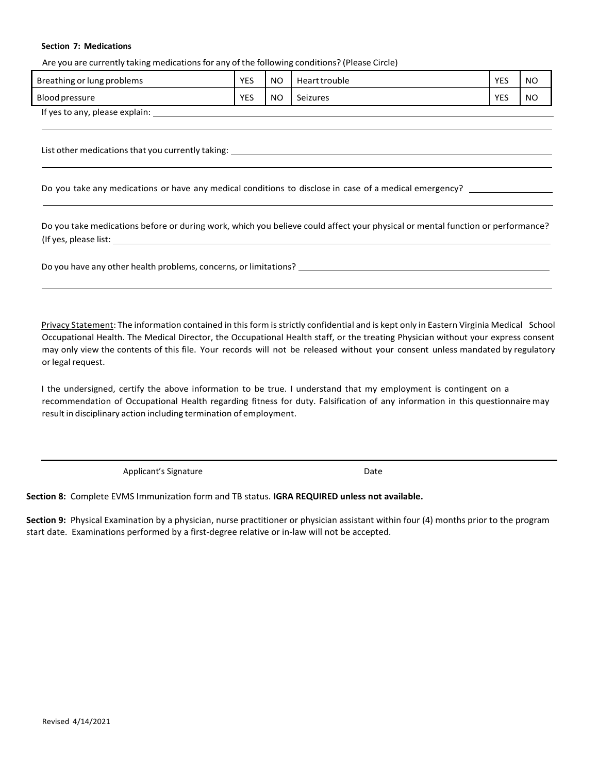#### **Section 7: Medications**

Are you are currently taking medicationsfor any of the following conditions? (Please Circle)

| Breathing or lung problems     | <b>YES</b> | N <sub>O</sub> | Heart trouble | <b>YES</b> | <b>NO</b> |
|--------------------------------|------------|----------------|---------------|------------|-----------|
| Blood pressure                 | <b>YES</b> | N <sub>O</sub> | Seizures      | YES        | <b>NO</b> |
| If yes to any, please explain: |            |                |               |            |           |

List other medications that you currently taking: \_\_\_\_\_\_\_\_\_

Do you take any medications or have any medical conditions to disclose in case of a medical emergency?

Do you take medications before or during work, which you believe could affect your physical or mental function or performance? (If yes, please list:

Do you have any other health problems, concerns, or limitations?

Privacy Statement: The information contained in this form is strictly confidential and is kept only in Eastern Virginia Medical School Occupational Health. The Medical Director, the Occupational Health staff, or the treating Physician without your express consent may only view the contents of this file. Your records will not be released without your consent unless mandated by regulatory or legal request.

I the undersigned, certify the above information to be true. I understand that my employment is contingent on a recommendation of Occupational Health regarding fitness for duty. Falsification of any information in this questionnaire may result in disciplinary action including termination of employment.

Applicant's Signature **Date** 

**Section 8:** Complete EVMS Immunization form and TB status. **IGRA REQUIRED unless not available.**

**Section 9:** Physical Examination by a physician, nurse practitioner or physician assistant within four (4) months prior to the program start date. Examinations performed by a first-degree relative or in-law will not be accepted.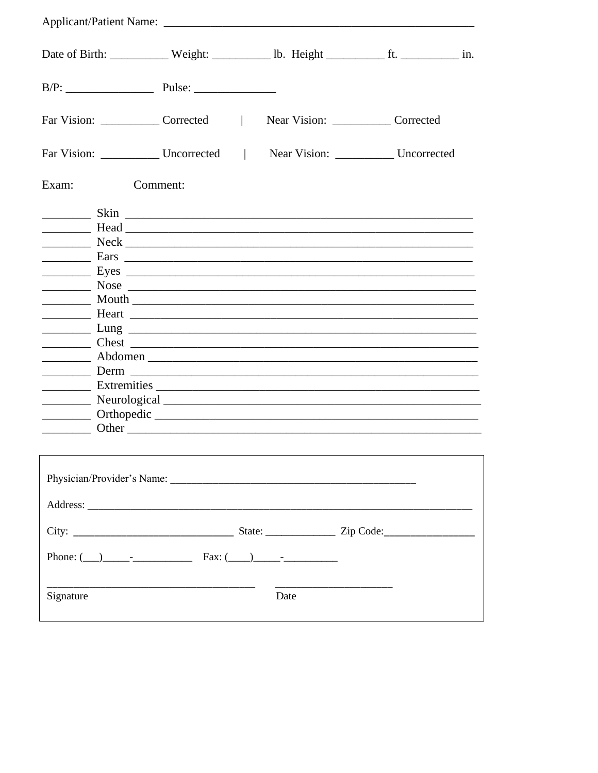|           | Date of Birth: ___________ Weight: ___________ lb. Height _____________ ft. _____________ in.                                                                                                                                                                                                                                            |                                       |  |  |
|-----------|------------------------------------------------------------------------------------------------------------------------------------------------------------------------------------------------------------------------------------------------------------------------------------------------------------------------------------------|---------------------------------------|--|--|
|           |                                                                                                                                                                                                                                                                                                                                          |                                       |  |  |
|           | Far Vision: Corrected                                                                                                                                                                                                                                                                                                                    | Near Vision: ______________ Corrected |  |  |
|           | Far Vision: Uncorrected   Near Vision: Uncorrected                                                                                                                                                                                                                                                                                       |                                       |  |  |
| Exam:     | Comment:                                                                                                                                                                                                                                                                                                                                 |                                       |  |  |
|           |                                                                                                                                                                                                                                                                                                                                          |                                       |  |  |
|           |                                                                                                                                                                                                                                                                                                                                          |                                       |  |  |
|           |                                                                                                                                                                                                                                                                                                                                          |                                       |  |  |
|           |                                                                                                                                                                                                                                                                                                                                          |                                       |  |  |
|           |                                                                                                                                                                                                                                                                                                                                          |                                       |  |  |
|           |                                                                                                                                                                                                                                                                                                                                          |                                       |  |  |
|           |                                                                                                                                                                                                                                                                                                                                          |                                       |  |  |
|           |                                                                                                                                                                                                                                                                                                                                          |                                       |  |  |
|           |                                                                                                                                                                                                                                                                                                                                          |                                       |  |  |
|           |                                                                                                                                                                                                                                                                                                                                          |                                       |  |  |
|           |                                                                                                                                                                                                                                                                                                                                          |                                       |  |  |
|           |                                                                                                                                                                                                                                                                                                                                          |                                       |  |  |
|           | Neurological Neurological Neurological Research Communications and the Neurological Research Communications and the Neurological Research Communications and the Neurological Research Communications and the Neurological Res                                                                                                           |                                       |  |  |
|           | <u>Design by the contract of the contract of the contract of the contract of the contract of the contract of the contract of the contract of the contract of the contract of the contract of the contract of the contract of the</u>                                                                                                     |                                       |  |  |
|           | Other contracts of the contract of the contract of the contract of the contract of the contract of the contract of the contract of the contract of the contract of the contract of the contract of the contract of the contrac                                                                                                           |                                       |  |  |
|           |                                                                                                                                                                                                                                                                                                                                          |                                       |  |  |
|           |                                                                                                                                                                                                                                                                                                                                          |                                       |  |  |
|           |                                                                                                                                                                                                                                                                                                                                          |                                       |  |  |
|           |                                                                                                                                                                                                                                                                                                                                          |                                       |  |  |
|           | Phone: $\qquad \qquad$ $\qquad$ $\qquad$ $\qquad$ $\qquad$ $\qquad$ $\qquad$ $\qquad$ $\qquad$ $\qquad$ $\qquad$ $\qquad$ $\qquad$ $\qquad$ $\qquad$ $\qquad$ $\qquad$ $\qquad$ $\qquad$ $\qquad$ $\qquad$ $\qquad$ $\qquad$ $\qquad$ $\qquad$ $\qquad$ $\qquad$ $\qquad$ $\qquad$ $\qquad$ $\qquad$ $\qquad$ $\qquad$ $\qquad$ $\qquad$ |                                       |  |  |
| Signature |                                                                                                                                                                                                                                                                                                                                          | Date                                  |  |  |
|           |                                                                                                                                                                                                                                                                                                                                          |                                       |  |  |